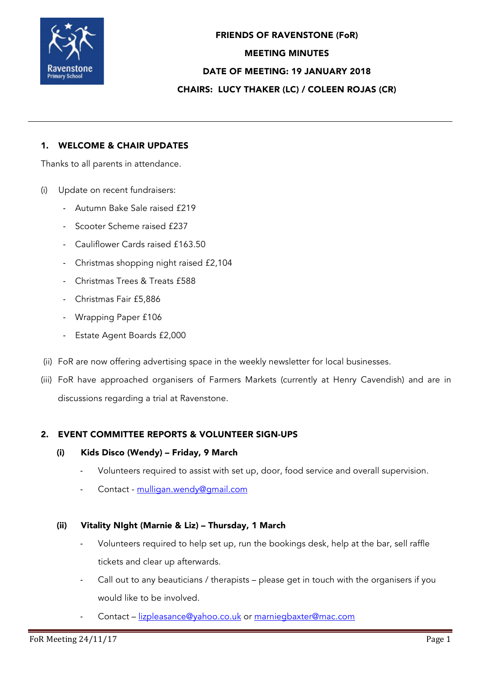

FRIENDS OF RAVENSTONE (FoR) MEETING MINUTES DATE OF MEETING: 19 JANUARY 2018 CHAIRS: LUCY THAKER (LC) / COLEEN ROJAS (CR)

# 1. WELCOME & CHAIR UPDATES

Thanks to all parents in attendance.

- (i) Update on recent fundraisers:
	- Autumn Bake Sale raised £219
	- Scooter Scheme raised £237
	- Cauliflower Cards raised £163.50
	- Christmas shopping night raised £2,104
	- Christmas Trees & Treats £588
	- Christmas Fair £5,886
	- Wrapping Paper £106
	- Estate Agent Boards £2,000
- (ii) FoR are now offering advertising space in the weekly newsletter for local businesses.
- (iii) FoR have approached organisers of Farmers Markets (currently at Henry Cavendish) and are in discussions regarding a trial at Ravenstone.

### 2. EVENT COMMITTEE REPORTS & VOLUNTEER SIGN-UPS

#### (i) Kids Disco (Wendy) – Friday, 9 March

- Volunteers required to assist with set up, door, food service and overall supervision.
- Contact mulligan.wendy@gmail.com

#### (ii) Vitality NIght (Marnie & Liz) – Thursday, 1 March

- Volunteers required to help set up, run the bookings desk, help at the bar, sell raffle tickets and clear up afterwards.
- Call out to any beauticians / therapists please get in touch with the organisers if you would like to be involved.
- Contact lizpleasance@yahoo.co.uk or marniegbaxter@mac.com